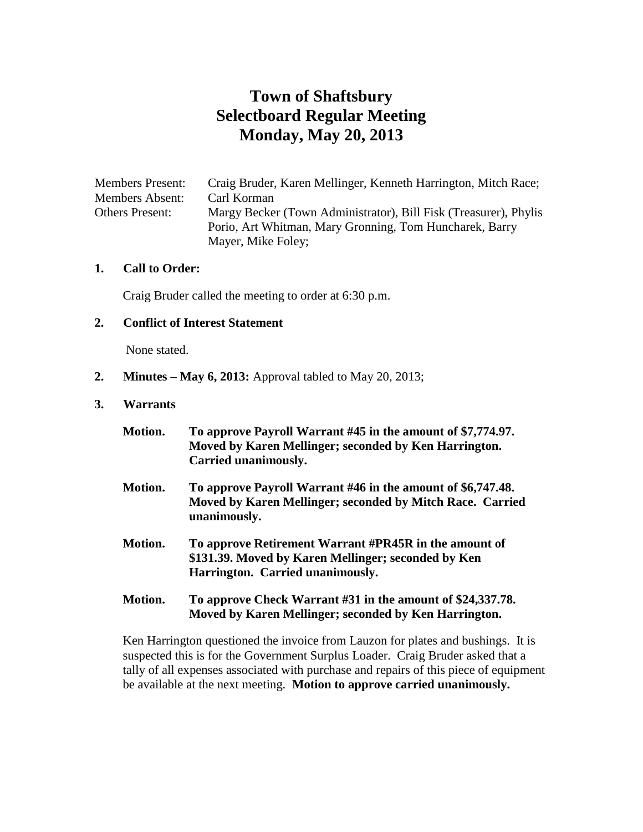# **Town of Shaftsbury Selectboard Regular Meeting Monday, May 20, 2013**

Members Present: Craig Bruder, Karen Mellinger, Kenneth Harrington, Mitch Race; Members Absent: Carl Korman Others Present: Margy Becker (Town Administrator), Bill Fisk (Treasurer), Phylis Porio, Art Whitman, Mary Gronning, Tom Huncharek, Barry Mayer, Mike Foley;

#### **1. Call to Order:**

Craig Bruder called the meeting to order at 6:30 p.m.

#### **2. Conflict of Interest Statement**

None stated.

**2. Minutes – May 6, 2013:** Approval tabled to May 20, 2013;

#### **3. Warrants**

| Motion. | To approve Payroll Warrant #45 in the amount of \$7,774.97.<br>Moved by Karen Mellinger; seconded by Ken Harrington.<br>Carried unanimously.     |
|---------|--------------------------------------------------------------------------------------------------------------------------------------------------|
| Motion. | To approve Payroll Warrant #46 in the amount of \$6,747.48.<br>Moved by Karen Mellinger; seconded by Mitch Race. Carried<br>unanimously.         |
| Motion. | To approve Retirement Warrant #PR45R in the amount of<br>\$131.39. Moved by Karen Mellinger; seconded by Ken<br>Harrington. Carried unanimously. |
| Motion. | To approve Check Warrant #31 in the amount of \$24,337.78.<br>Moved by Karen Mellinger; seconded by Ken Harrington.                              |

Ken Harrington questioned the invoice from Lauzon for plates and bushings. It is suspected this is for the Government Surplus Loader. Craig Bruder asked that a tally of all expenses associated with purchase and repairs of this piece of equipment be available at the next meeting. **Motion to approve carried unanimously.**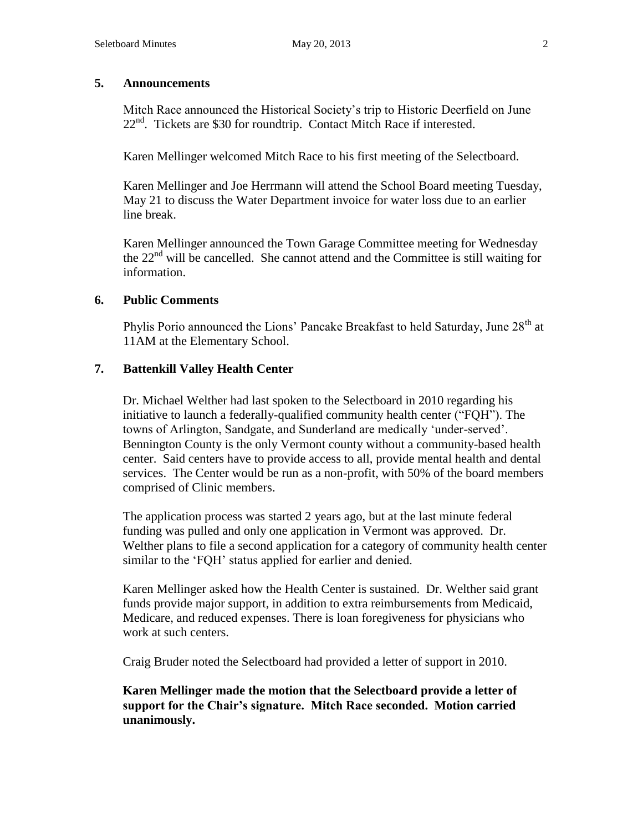#### **5. Announcements**

Mitch Race announced the Historical Society's trip to Historic Deerfield on June  $22<sup>nd</sup>$ . Tickets are \$30 for roundtrip. Contact Mitch Race if interested.

Karen Mellinger welcomed Mitch Race to his first meeting of the Selectboard.

Karen Mellinger and Joe Herrmann will attend the School Board meeting Tuesday, May 21 to discuss the Water Department invoice for water loss due to an earlier line break.

Karen Mellinger announced the Town Garage Committee meeting for Wednesday the 22<sup>nd</sup> will be cancelled. She cannot attend and the Committee is still waiting for information.

# **6. Public Comments**

Phylis Porio announced the Lions' Pancake Breakfast to held Saturday, June 28<sup>th</sup> at 11AM at the Elementary School.

#### **7. Battenkill Valley Health Center**

Dr. Michael Welther had last spoken to the Selectboard in 2010 regarding his initiative to launch a federally-qualified community health center ("FQH"). The towns of Arlington, Sandgate, and Sunderland are medically 'under-served'. Bennington County is the only Vermont county without a community-based health center. Said centers have to provide access to all, provide mental health and dental services. The Center would be run as a non-profit, with 50% of the board members comprised of Clinic members.

The application process was started 2 years ago, but at the last minute federal funding was pulled and only one application in Vermont was approved. Dr. Welther plans to file a second application for a category of community health center similar to the 'FQH' status applied for earlier and denied.

Karen Mellinger asked how the Health Center is sustained. Dr. Welther said grant funds provide major support, in addition to extra reimbursements from Medicaid, Medicare, and reduced expenses. There is loan foregiveness for physicians who work at such centers.

Craig Bruder noted the Selectboard had provided a letter of support in 2010.

**Karen Mellinger made the motion that the Selectboard provide a letter of support for the Chair's signature. Mitch Race seconded. Motion carried unanimously.**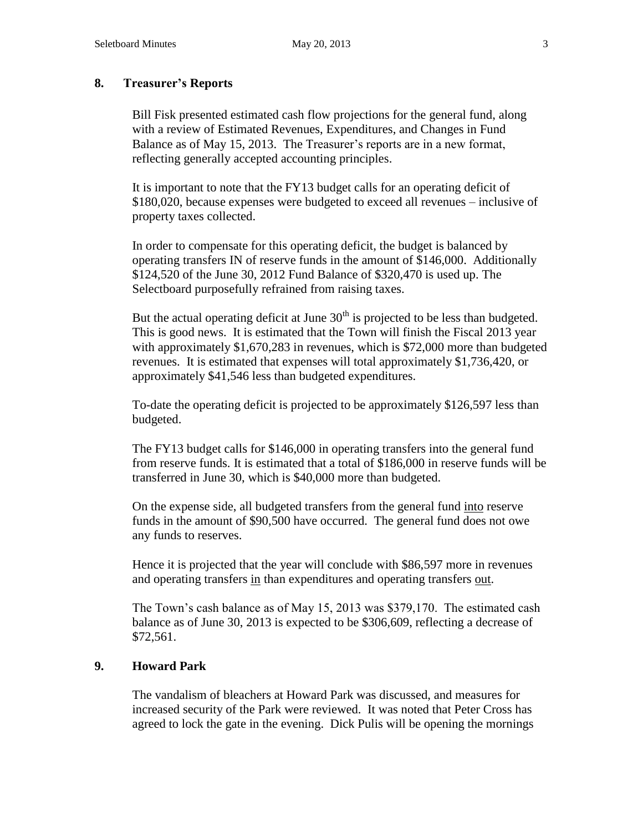# **8. Treasurer's Reports**

Bill Fisk presented estimated cash flow projections for the general fund, along with a review of Estimated Revenues, Expenditures, and Changes in Fund Balance as of May 15, 2013. The Treasurer's reports are in a new format, reflecting generally accepted accounting principles.

It is important to note that the FY13 budget calls for an operating deficit of \$180,020, because expenses were budgeted to exceed all revenues – inclusive of property taxes collected.

In order to compensate for this operating deficit, the budget is balanced by operating transfers IN of reserve funds in the amount of \$146,000. Additionally \$124,520 of the June 30, 2012 Fund Balance of \$320,470 is used up. The Selectboard purposefully refrained from raising taxes.

But the actual operating deficit at June  $30<sup>th</sup>$  is projected to be less than budgeted. This is good news. It is estimated that the Town will finish the Fiscal 2013 year with approximately \$1,670,283 in revenues, which is \$72,000 more than budgeted revenues. It is estimated that expenses will total approximately \$1,736,420, or approximately \$41,546 less than budgeted expenditures.

To-date the operating deficit is projected to be approximately \$126,597 less than budgeted.

The FY13 budget calls for \$146,000 in operating transfers into the general fund from reserve funds. It is estimated that a total of \$186,000 in reserve funds will be transferred in June 30, which is \$40,000 more than budgeted.

On the expense side, all budgeted transfers from the general fund into reserve funds in the amount of \$90,500 have occurred. The general fund does not owe any funds to reserves.

Hence it is projected that the year will conclude with \$86,597 more in revenues and operating transfers in than expenditures and operating transfers out.

The Town's cash balance as of May 15, 2013 was \$379,170. The estimated cash balance as of June 30, 2013 is expected to be \$306,609, reflecting a decrease of \$72,561.

# **9. Howard Park**

The vandalism of bleachers at Howard Park was discussed, and measures for increased security of the Park were reviewed. It was noted that Peter Cross has agreed to lock the gate in the evening. Dick Pulis will be opening the mornings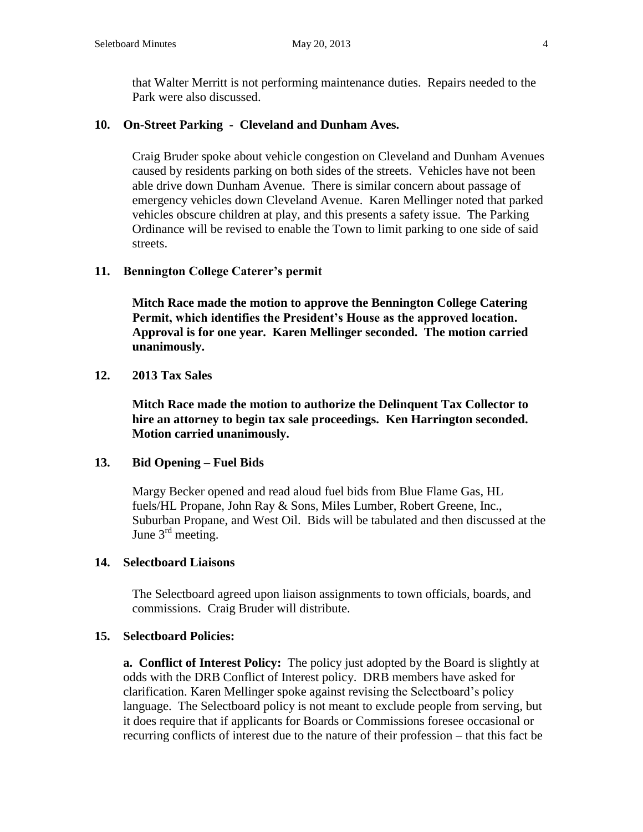that Walter Merritt is not performing maintenance duties. Repairs needed to the Park were also discussed.

# **10. On-Street Parking - Cleveland and Dunham Aves.**

Craig Bruder spoke about vehicle congestion on Cleveland and Dunham Avenues caused by residents parking on both sides of the streets. Vehicles have not been able drive down Dunham Avenue. There is similar concern about passage of emergency vehicles down Cleveland Avenue. Karen Mellinger noted that parked vehicles obscure children at play, and this presents a safety issue. The Parking Ordinance will be revised to enable the Town to limit parking to one side of said streets.

# **11. Bennington College Caterer's permit**

**Mitch Race made the motion to approve the Bennington College Catering Permit, which identifies the President's House as the approved location. Approval is for one year. Karen Mellinger seconded. The motion carried unanimously.**

# **12. 2013 Tax Sales**

**Mitch Race made the motion to authorize the Delinquent Tax Collector to hire an attorney to begin tax sale proceedings. Ken Harrington seconded. Motion carried unanimously.**

# **13. Bid Opening – Fuel Bids**

Margy Becker opened and read aloud fuel bids from Blue Flame Gas, HL fuels/HL Propane, John Ray & Sons, Miles Lumber, Robert Greene, Inc., Suburban Propane, and West Oil. Bids will be tabulated and then discussed at the June  $3<sup>rd</sup>$  meeting.

# **14. Selectboard Liaisons**

The Selectboard agreed upon liaison assignments to town officials, boards, and commissions. Craig Bruder will distribute.

# **15. Selectboard Policies:**

**a. Conflict of Interest Policy:** The policy just adopted by the Board is slightly at odds with the DRB Conflict of Interest policy. DRB members have asked for clarification. Karen Mellinger spoke against revising the Selectboard's policy language. The Selectboard policy is not meant to exclude people from serving, but it does require that if applicants for Boards or Commissions foresee occasional or recurring conflicts of interest due to the nature of their profession – that this fact be